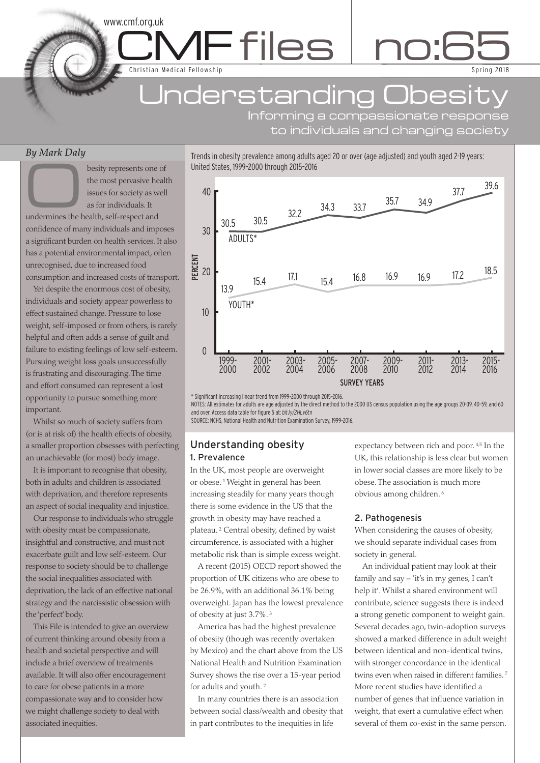# Jnderstanding Obesit

Trends in obesity prevalence among adults aged 20 or over (age adjusted) and youth aged 2-19 years:

MFfiles no:6

Informing a compassionate response to individuals and changing society

Sp ring 2018

5

### *By Mark Daly*

besity represents one of<br>the most pervasive heal<br>issues for society as well<br>as for individuals. It the most pervasive health issues for society as well as for individuals. It

C C

www.cmf.org.uk

Christian Medical Fellowship

undermines the health, self-respect and confidence of many individuals and imposes a significant burden on health services. It also has a potential environmental impact, often unrecognised, due to increased food consumption and increased costs of transport.

Yet despite the enormous cost of obesity, individuals and society appear powerless to effect sustained change. Pressure to lose weight, self-imposed or from others, is rarely helpful and often adds a sense of guilt and failure to existing feelings of low self-esteem. Pursuing weight loss goals unsuccessfully is frustrating and discouraging.The time and effort consumed can represent a lost opportunity to pursue something more important.

Whilst so much of society suffers from (or is at risk of) the health effects of obesity, a smaller proportion obsesses with perfecting an unachievable (for most) body image.

It is important to recognise that obesity, both in adults and children is associated with deprivation, and therefore represents an aspect of social inequality and injustice.

Our response to individuals who struggle with obesity must be compassionate, insightful and constructive, and must not exacerbate guilt and low self-esteem. Our response to society should be to challenge the social inequalities associated with deprivation, the lack of an effective national strategy and the narcissistic obsession with the'perfect'body.

This File is intended to give an overview of current thinking around obesity from a health and societal perspective and will include a brief overview of treatments available. It will also offer encouragement to care for obese patients in a more compassionate way and to consider how we might challenge society to deal with associated inequities.



\* Significant increasing linear trend from 1999–2000 through 2015–2016.

NOTES: All estimates for adults are age adjusted by the direct method to the 2000 US census population using the age groups 20–39, 40–59, and 60 and over. Access data table for figure 5 at: *bit.ly/2HLv6tn*

SOURCE: NCHS, National Health and Nutrition Examination Survey, 1999–2016.

### Understanding obesity 1. Prevalence

In the UK, most people are overweight or obese. <sup>1</sup> Weight in general has been increasing steadily for many years though there is some evidence in the US that the growth in obesity may have reached a plateau. <sup>2</sup> Central obesity, defined by waist circumference, is associated with a higher metabolic risk than is simple excess weight.

A recent (2015) OECD report showed the proportion of UK citizens who are obese to be 26.9%, with an additional 36.1% being overweight. Japan has the lowest prevalence of obesity at just 3.7%. <sup>3</sup>

America has had the highest prevalence of obesity (though was recently overtaken by Mexico) and the chart above from the US National Health and Nutrition Examination Survey shows the rise over a 15-year period for adults and youth. <sup>2</sup>

In many countries there is an association between social class/wealth and obesity that in part contributes to the inequities in life

expectancy between rich and poor. 4,5 In the UK, this relationship is less clear but women in lower social classes are more likely to be obese.The association is much more obvious among children. <sup>6</sup>

### 2. Pathogenesis

When considering the causes of obesity, we should separate individual cases from society in general.

An individual patient may look at their family and say – 'it's in my genes, I can't help it'. Whilst a shared environment will contribute, science suggests there is indeed a strong genetic component to weight gain. Several decades ago, twin-adoption surveys showed a marked difference in adult weight between identical and non-identical twins, with stronger concordance in the identical twins even when raised in different families. <sup>7</sup> More recent studies have identified a number of genes that influence variation in weight, that exert a cumulative effect when several of them co-exist in the same person.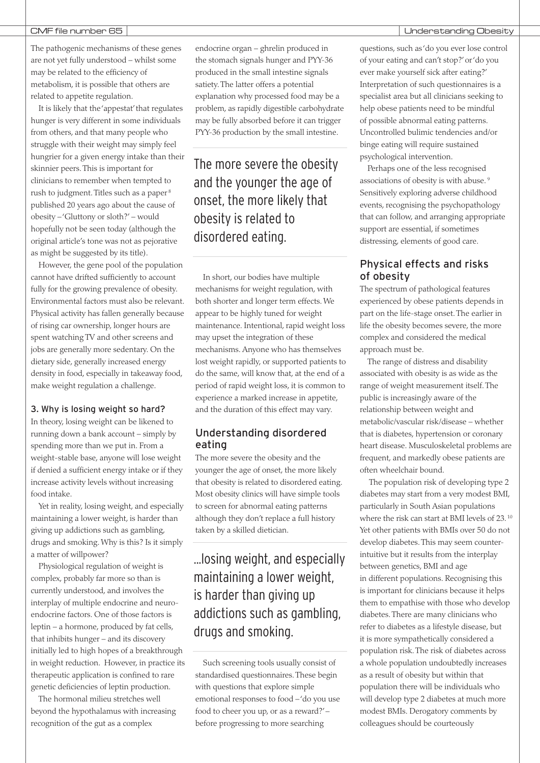The pathogenic mechanisms of these genes are not yet fully understood – whilst some may be related to the efficiency of metabolism, it is possible that others are related to appetite regulation.

It is likely that the'appestat' that regulates hunger is very different in some individuals from others, and that many people who struggle with their weight may simply feel hungrier for a given energy intake than their skinnier peers.This is important for clinicians to remember when tempted to rush to judgment. Titles such as a paper<sup>8</sup> published 20 years ago about the cause of obesity –'Gluttony or sloth?' – would hopefully not be seen today (although the original article's tone was not as pejorative as might be suggested by its title).

However, the gene pool of the population cannot have drifted sufficiently to account fully for the growing prevalence of obesity. Environmental factors must also be relevant. Physical activity has fallen generally because of rising car ownership, longer hours are spent watching TV and other screens and jobs are generally more sedentary. On the dietary side, generally increased energy density in food, especially in takeaway food, make weight regulation a challenge.

### 3. Why is losing weight so hard?

In theory, losing weight can be likened to running down a bank account – simply by spending more than we put in. From a weight-stable base, anyone will lose weight if denied a sufficient energy intake or if they increase activity levels without increasing food intake.

Yet in reality, losing weight, and especially maintaining a lower weight, is harder than giving up addictions such as gambling, drugs and smoking. Why is this? Is it simply a matter of willpower?

Physiological regulation of weight is complex, probably far more so than is currently understood, and involves the interplay of multiple endocrine and neuroendocrine factors. One of those factors is leptin – a hormone, produced by fat cells, that inhibits hunger – and its discovery initially led to high hopes of a breakthrough in weight reduction. However, in practice its therapeutic application is confined to rare genetic deficiencies of leptin production.

The hormonal milieu stretches well beyond the hypothalamus with increasing recognition of the gut as a complex

endocrine organ – ghrelin produced in the stomach signals hunger and PYY-36 produced in the small intestine signals satiety.The latter offers a potential explanation why processed food may be a problem, as rapidly digestible carbohydrate may be fully absorbed before it can trigger PYY-36 production by the small intestine.

The more severe the obesity and the younger the age of onset, the more likely that obesity is related to disordered eating.

In short, our bodies have multiple mechanisms for weight regulation, with both shorter and longer term effects. We appear to be highly tuned for weight maintenance. Intentional, rapid weight loss may upset the integration of these mechanisms. Anyone who has themselves lost weight rapidly, or supported patients to do the same, will know that, at the end of a period of rapid weight loss, it is common to experience a marked increase in appetite, and the duration of this effect may vary.

### Understanding disordered eating

The more severe the obesity and the younger the age of onset, the more likely that obesity is related to disordered eating. Most obesity clinics will have simple tools to screen for abnormal eating patterns although they don't replace a full history taken by a skilled dietician.

...losing weight, and especially maintaining a lower weight, is harder than giving up addictions such as gambling, drugs and smoking.

Such screening tools usually consist of standardised questionnaires.These begin with questions that explore simple emotional responses to food –'do you use food to cheer you up, or as a reward?'– before progressing to more searching

questions, such as'do you ever lose control of your eating and can't stop?'or'do you ever make yourself sick after eating?' Interpretation of such questionnaires is a specialist area but all clinicians seeking to help obese patients need to be mindful of possible abnormal eating patterns. Uncontrolled bulimic tendencies and/or binge eating will require sustained psychological intervention.

Perhaps one of the less recognised associations of obesity is with abuse. <sup>9</sup> Sensitively exploring adverse childhood events, recognising the psychopathology that can follow, and arranging appropriate support are essential, if sometimes distressing, elements of good care.

### Physical effects and risks of obesity

The spectrum of pathological features experienced by obese patients depends in part on the life-stage onset.The earlier in life the obesity becomes severe, the more complex and considered the medical approach must be.

The range of distress and disability associated with obesity is as wide as the range of weight measurement itself.The public is increasingly aware of the relationship between weight and metabolic/vascular risk/disease – whether that is diabetes, hypertension or coronary heart disease. Musculoskeletal problems are frequent, and markedly obese patients are often wheelchair bound.

The population risk of developing type 2 diabetes may start from a very modest BMI, particularly in South Asian populations where the risk can start at BMI levels of 23. <sup>10</sup> Yet other patients with BMIs over 50 do not develop diabetes.This may seem counterintuitive but it results from the interplay between genetics, BMI and age in different populations. Recognising this is important for clinicians because it helps them to empathise with those who develop diabetes.There are many clinicians who refer to diabetes as a lifestyle disease, but it is more sympathetically considered a population risk.The risk of diabetes across a whole population undoubtedly increases as a result of obesity but within that population there will be individuals who will develop type 2 diabetes at much more modest BMIs. Derogatory comments by colleagues should be courteously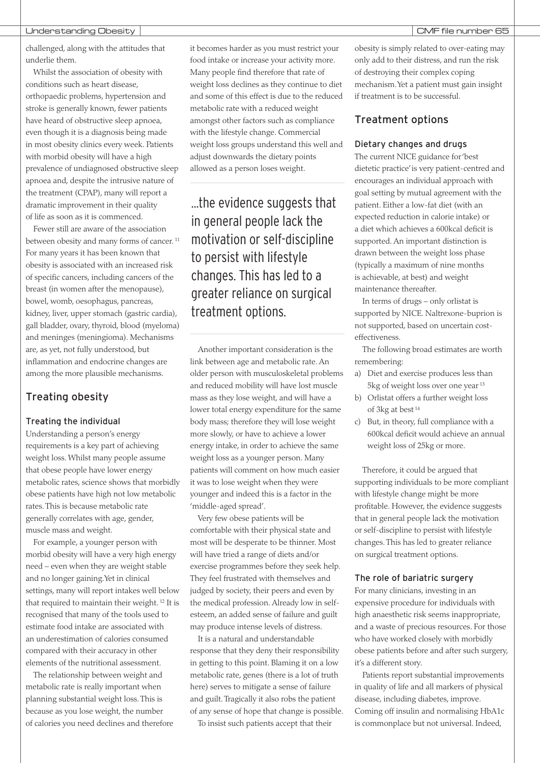challenged, along with the attitudes that underlie them.

Whilst the association of obesity with conditions such as heart disease, orthopaedic problems, hypertension and stroke is generally known, fewer patients have heard of obstructive sleep apnoea, even though it is a diagnosis being made in most obesity clinics every week. Patients with morbid obesity will have a high prevalence of undiagnosed obstructive sleep apnoea and, despite the intrusive nature of the treatment (CPAP), many will report a dramatic improvement in their quality of life as soon as it is commenced.

Fewer still are aware of the association between obesity and many forms of cancer. <sup>11</sup> For many years it has been known that obesity is associated with an increased risk of specific cancers, including cancers of the breast (in women after the menopause), bowel, womb, oesophagus, pancreas, kidney, liver, upper stomach (gastric cardia), gall bladder, ovary, thyroid, blood (myeloma) and meninges (meningioma). Mechanisms are, as yet, not fully understood, but inflammation and endocrine changes are among the more plausible mechanisms.

### Treating obesity

### Treating the individual

Understanding a person's energy requirements is a key part of achieving weight loss. Whilst many people assume that obese people have lower energy metabolic rates, science shows that morbidly obese patients have high not low metabolic rates.This is because metabolic rate generally correlates with age, gender, muscle mass and weight.

For example, a younger person with morbid obesity will have a very high energy need – even when they are weight stable and no longer gaining.Yet in clinical settings, many will report intakes well below that required to maintain their weight. <sup>12</sup> It is recognised that many of the tools used to estimate food intake are associated with an underestimation of calories consumed compared with their accuracy in other elements of the nutritional assessment.

The relationship between weight and metabolic rate is really important when planning substantial weight loss.This is because as you lose weight, the number of calories you need declines and therefore

it becomes harder as you must restrict your food intake or increase your activity more. Many people find therefore that rate of weight loss declines as they continue to diet and some of this effect is due to the reduced metabolic rate with a reduced weight amongst other factors such as compliance with the lifestyle change. Commercial weight loss groups understand this well and adjust downwards the dietary points allowed as a person loses weight.

...the evidence suggests that in general people lack the motivation or self-discipline to persist with lifestyle changes. This has led to a greater reliance on surgical treatment options.

Another important consideration is the link between age and metabolic rate. An older person with musculoskeletal problems and reduced mobility will have lost muscle mass as they lose weight, and will have a lower total energy expenditure for the same body mass; therefore they will lose weight more slowly, or have to achieve a lower energy intake, in order to achieve the same weight loss as a younger person. Many patients will comment on how much easier it was to lose weight when they were younger and indeed this is a factor in the 'middle-aged spread'.

Very few obese patients will be comfortable with their physical state and most will be desperate to be thinner. Most will have tried a range of diets and/or exercise programmes before they seek help. They feel frustrated with themselves and judged by society, their peers and even by the medical profession. Already low in selfesteem, an added sense of failure and guilt may produce intense levels of distress.

It is a natural and understandable response that they deny their responsibility in getting to this point. Blaming it on a low metabolic rate, genes (there is a lot of truth here) serves to mitigate a sense of failure and guilt.Tragically it also robs the patient of any sense of hope that change is possible.

To insist such patients accept that their

obesity is simply related to over-eating may only add to their distress, and run the risk of destroying their complex coping mechanism.Yet a patient must gain insight if treatment is to be successful.

### Treatment options

### Dietary changes and drugs

The current NICE guidance for'best dietetic practice'is very patient-centred and encourages an individual approach with goal setting by mutual agreement with the patient. Either a low-fat diet (with an expected reduction in calorie intake) or a diet which achieves a 600kcal deficit is supported. An important distinction is drawn between the weight loss phase (typically a maximum of nine months is achievable, at best) and weight maintenance thereafter.

In terms of drugs – only orlistat is supported by NICE. Naltrexone-buprion is not supported, based on uncertain costeffectiveness.

The following broad estimates are worth remembering:

- a) Diet and exercise produces less than 5kg of weight loss over one year <sup>13</sup>
- b) Orlistat offers a further weight loss of 3kg at best <sup>14</sup>
- c) But, in theory, full compliance with a 600kcal deficit would achieve an annual weight loss of 25kg or more.

Therefore, it could be argued that supporting individuals to be more compliant with lifestyle change might be more profitable. However, the evidence suggests that in general people lack the motivation or self-discipline to persist with lifestyle changes.This has led to greater reliance on surgical treatment options.

### The role of bariatric surgery

For many clinicians, investing in an expensive procedure for individuals with high anaesthetic risk seems inappropriate, and a waste of precious resources. For those who have worked closely with morbidly obese patients before and after such surgery, it's a different story.

Patients report substantial improvements in quality of life and all markers of physical disease, including diabetes, improve. Coming off insulin and normalising HbA1c is commonplace but not universal. Indeed,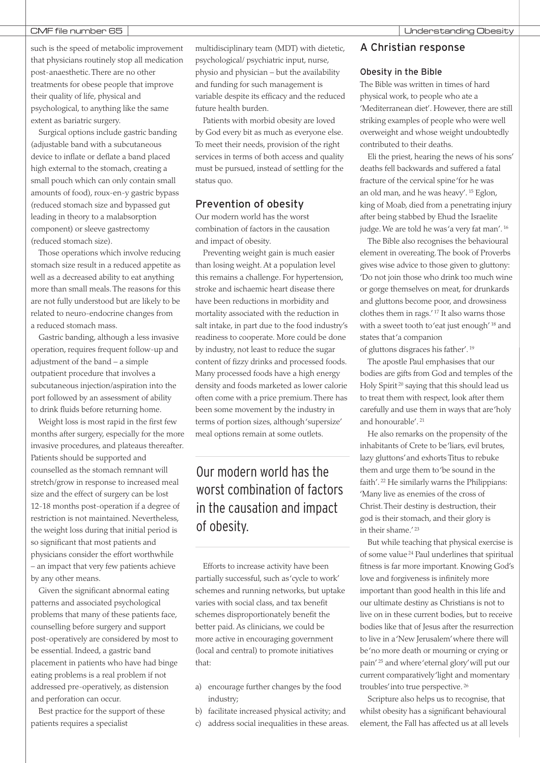such is the speed of metabolic improvement that physicians routinely stop all medication post-anaesthetic.There are no other treatments for obese people that improve their quality of life, physical and psychological, to anything like the same extent as bariatric surgery.

Surgical options include gastric banding (adjustable band with a subcutaneous device to inflate or deflate a band placed high external to the stomach, creating a small pouch which can only contain small amounts of food), roux-en-y gastric bypass (reduced stomach size and bypassed gut leading in theory to a malabsorption component) or sleeve gastrectomy (reduced stomach size).

Those operations which involve reducing stomach size result in a reduced appetite as well as a decreased ability to eat anything more than small meals.The reasons for this are not fully understood but are likely to be related to neuro-endocrine changes from a reduced stomach mass.

Gastric banding, although a less invasive operation, requires frequent follow-up and adjustment of the band – a simple outpatient procedure that involves a subcutaneous injection/aspiration into the port followed by an assessment of ability to drink fluids before returning home.

Weight loss is most rapid in the first few months after surgery, especially for the more invasive procedures, and plateaus thereafter. Patients should be supported and counselled as the stomach remnant will stretch/grow in response to increased meal size and the effect of surgery can be lost 12-18 months post-operation if a degree of restriction is not maintained. Nevertheless, the weight loss during that initial period is so significant that most patients and physicians consider the effort worthwhile – an impact that very few patients achieve by any other means.

Given the significant abnormal eating patterns and associated psychological problems that many of these patients face, counselling before surgery and support post-operatively are considered by most to be essential. Indeed, a gastric band placement in patients who have had binge eating problems is a real problem if not addressed pre-operatively, as distension and perforation can occur.

Best practice for the support of these patients requires a specialist

multidisciplinary team (MDT) with dietetic, psychological/ psychiatric input, nurse, physio and physician – but the availability and funding for such management is variable despite its efficacy and the reduced future health burden.

Patients with morbid obesity are loved by God every bit as much as everyone else. To meet their needs, provision of the right services in terms of both access and quality must be pursued, instead of settling for the status quo.

### Prevention of obesity

Our modern world has the worst combination of factors in the causation and impact of obesity.

Preventing weight gain is much easier than losing weight. At a population level this remains a challenge. For hypertension, stroke and ischaemic heart disease there have been reductions in morbidity and mortality associated with the reduction in salt intake, in part due to the food industry's readiness to cooperate. More could be done by industry, not least to reduce the sugar content of fizzy drinks and processed foods. Many processed foods have a high energy density and foods marketed as lower calorie often come with a price premium.There has been some movement by the industry in terms of portion sizes, although'supersize' meal options remain at some outlets.

## Our modern world has the worst combination of factors in the causation and impact of obesity.

Efforts to increase activity have been partially successful, such as'cycle to work' schemes and running networks, but uptake varies with social class, and tax benefit schemes disproportionately benefit the better paid. As clinicians, we could be more active in encouraging government (local and central) to promote initiatives that:

- a) encourage further changes by the food industry;
- b) facilitate increased physical activity; and
- c) address social inequalities in these areas.

### A Christian response

### Obesity in the Bible

The Bible was written in times of hard physical work, to people who ate a 'Mediterranean diet'. However, there are still striking examples of people who were well overweight and whose weight undoubtedly contributed to their deaths.

Eli the priest, hearing the news of his sons' deaths fell backwards and suffered a fatal fracture of the cervical spine'for he was an old man, and he was heavy'. <sup>15</sup> Eglon, king of Moab, died from a penetrating injury after being stabbed by Ehud the Israelite judge. We are told he was'a very fat man'. <sup>16</sup>

The Bible also recognises the behavioural element in overeating.The book of Proverbs gives wise advice to those given to gluttony: 'Do not join those who drink too much wine or gorge themselves on meat, for drunkards and gluttons become poor, and drowsiness clothes them in rags.' <sup>17</sup> It also warns those with a sweet tooth to'eat just enough' <sup>18</sup> and states that'a companion

of gluttons disgraces his father'. <sup>19</sup>

The apostle Paul emphasises that our bodies are gifts from God and temples of the Holy Spirit <sup>20</sup> saying that this should lead us to treat them with respect, look after them carefully and use them in ways that are'holy and honourable'. <sup>21</sup>

He also remarks on the propensity of the inhabitants of Crete to be'liars, evil brutes, lazy gluttons'and exhorts Titus to rebuke them and urge them to'be sound in the faith'. <sup>22</sup> He similarly warns the Philippians: 'Many live as enemies of the cross of Christ.Their destiny is destruction, their god is their stomach, and their glory is in their shame.' <sup>23</sup>

But while teaching that physical exercise is of some value <sup>24</sup> Paul underlines that spiritual fitness is far more important. Knowing God's love and forgiveness is infinitely more important than good health in this life and our ultimate destiny as Christians is not to live on in these current bodies, but to receive bodies like that of Jesus after the resurrection to live in a'New Jerusalem'where there will be'no more death or mourning or crying or pain' <sup>25</sup> and where'eternal glory'will put our current comparatively'light and momentary troubles'into true perspective. <sup>26</sup>

Scripture also helps us to recognise, that whilst obesity has a significant behavioural element, the Fall has affected us at all levels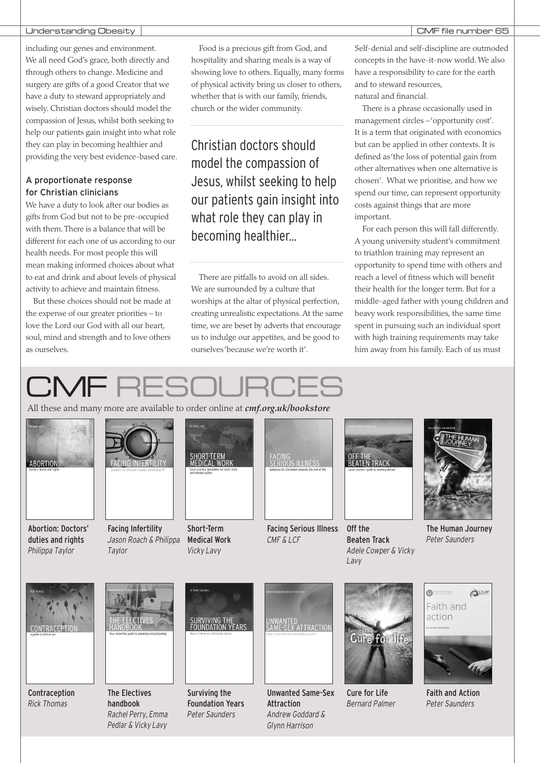### Understanding Obesity CMF file number 65

including our genes and environment. We all need God's grace, both directly and through others to change. Medicine and surgery are gifts of a good Creator that we have a duty to steward appropriately and wisely. Christian doctors should model the compassion of Jesus, whilst both seeking to help our patients gain insight into what role they can play in becoming healthier and providing the very best evidence-based care.

### A proportionate response for Christian clinicians

We have a duty to look after our bodies as gifts from God but not to be pre-occupied with them.There is a balance that will be different for each one of us according to our health needs. For most people this will mean making informed choices about what to eat and drink and about levels of physical activity to achieve and maintain fitness.

But these choices should not be made at the expense of our greater priorities – to love the Lord our God with all our heart, soul, mind and strength and to love others as ourselves.

Food is a precious gift from God, and hospitality and sharing meals is a way of showing love to others. Equally, many forms of physical activity bring us closer to others, whether that is with our family, friends, church or the wider community.

Christian doctors should model the compassion of Jesus, whilst seeking to help our patients gain insight into what role they can play in becoming healthier...

There are pitfalls to avoid on all sides. We are surrounded by a culture that worships at the altar of physical perfection, creating unrealistic expectations. At the same time, we are beset by adverts that encourage us to indulge our appetites, and be good to ourselves'because we're worth it'.

Self-denial and self-discipline are outmoded concepts in the have-it-now world. We also have a responsibility to care for the earth and to steward resources, natural and financial.

There is a phrase occasionally used in management circles –'opportunity cost'. It is a term that originated with economics but can be applied in other contexts. It is defined as'the loss of potential gain from other alternatives when one alternative is chosen'. What we prioritise, and how we spend our time, can represent opportunity costs against things that are more important.

For each person this will fall differently. A young university student's commitment to triathlon training may represent an opportunity to spend time with others and reach a level of fitness which will benefit their health for the longer term. But for a middle-aged father with young children and heavy work responsibilities, the same time spent in pursuing such an individual sport with high training requirements may take him away from his family. Each of us must

## CMF RFS

All these and many more are available to order online at *cmf.org.uk/bookstore*



Abortion: Doctors' duties and rights *Philippa Taylor*



Facing Infertility *Jason Roach & Philippa Taylor*







Facing Serious Illness *CMF & LCF*





Off the Beaten Track *Adele Cowper & Vicky Lavy*



The Human Journey *Peter Saunders*



Contraception *Rick Thomas*



The Electives handbook *Rachel Perry, Emma Pedlar & Vicky Lavy*



Surviving the Foundation Years *Peter Saunders*



Unwanted Same-Sex Attraction *Andrew Goddard & Glynn Harrison*



Cure for Life *Bernard Palmer*



Faith and Action *Peter Saunders*